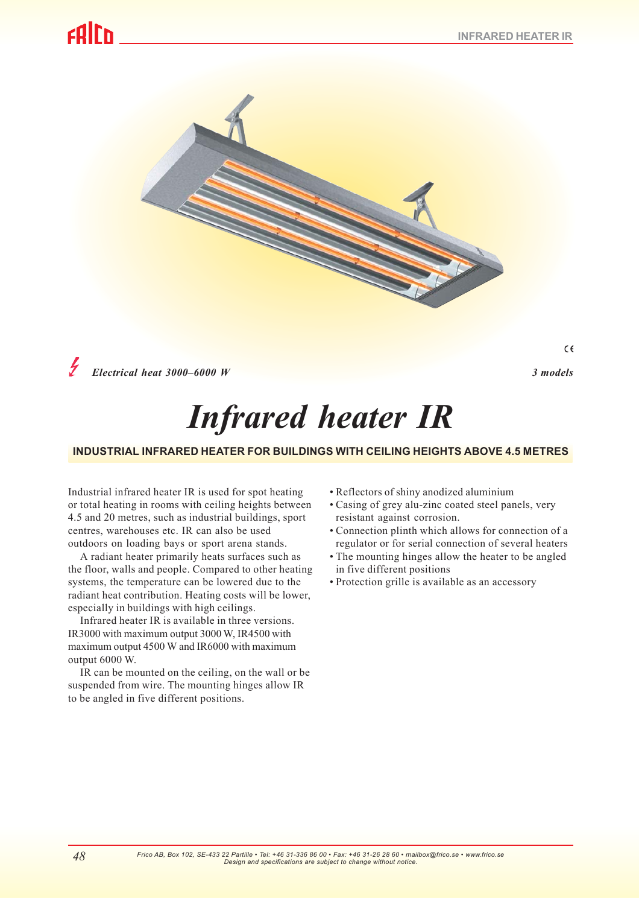$\epsilon$ 

# calrh



*Electrical heat 3000–6000 W 3 models*

# *Infrared heater IR*

# **INDUSTRIAL INFRARED HEATER FOR BUILDINGS WITH CEILING HEIGHTS ABOVE 4.5 METRES**

Industrial infrared heater IR is used for spot heating or total heating in rooms with ceiling heights between 4.5 and 20 metres, such as industrial buildings, sport centres, warehouses etc. IR can also be used outdoors on loading bays or sport arena stands.

A radiant heater primarily heats surfaces such as the floor, walls and people. Compared to other heating systems, the temperature can be lowered due to the radiant heat contribution. Heating costs will be lower, especially in buildings with high ceilings.

Infrared heater IR is available in three versions. IR3000 with maximum output 3000 W, IR4500 with maximum output 4500 W and IR6000 with maximum output 6000 W.

IR can be mounted on the ceiling, on the wall or be suspended from wire. The mounting hinges allow IR to be angled in five different positions.

- Reflectors of shiny anodized aluminium
- Casing of grey alu-zinc coated steel panels, very resistant against corrosion.
- Connection plinth which allows for connection of a regulator or for serial connection of several heaters
- The mounting hinges allow the heater to be angled in five different positions
- Protection grille is available as an accessory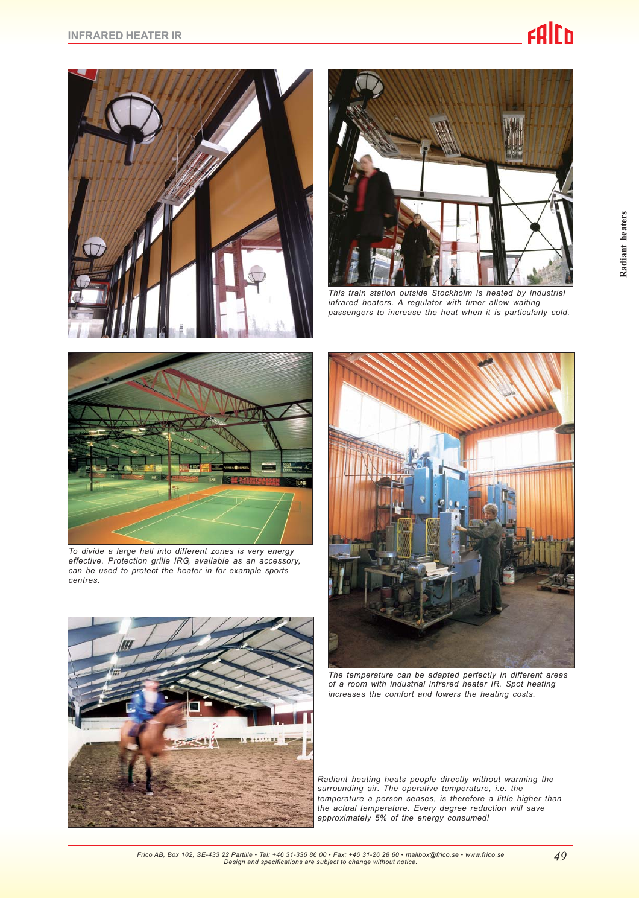



*This train station outside Stockholm is heated by industrial infrared heaters. A regulator with timer allow waiting passengers to increase the heat when it is particularly cold.*



*To divide a large hall into different zones is very energy effective. Protection grille IRG, available as an accessory, can be used to protect the heater in for example sports centres.*





*The temperature can be adapted perfectly in different areas of a room with industrial infrared heater IR. Spot heating increases the comfort and lowers the heating costs.*

*Radiant heating heats people directly without warming the surrounding air. The operative temperature, i.e. the temperature a person senses, is therefore a little higher than the actual temperature. Every degree reduction will save approximately 5% of the energy consumed!*

**Radiant heaters**

Radiant heaters

*Frico AB, Box 102, SE-433 22 Partille • Tel: +46 31-336 86 00 • Fax: +46 31-26 28 60 • mailbox@frico.se • www.frico.se Design and specifications are subject to change without notice.*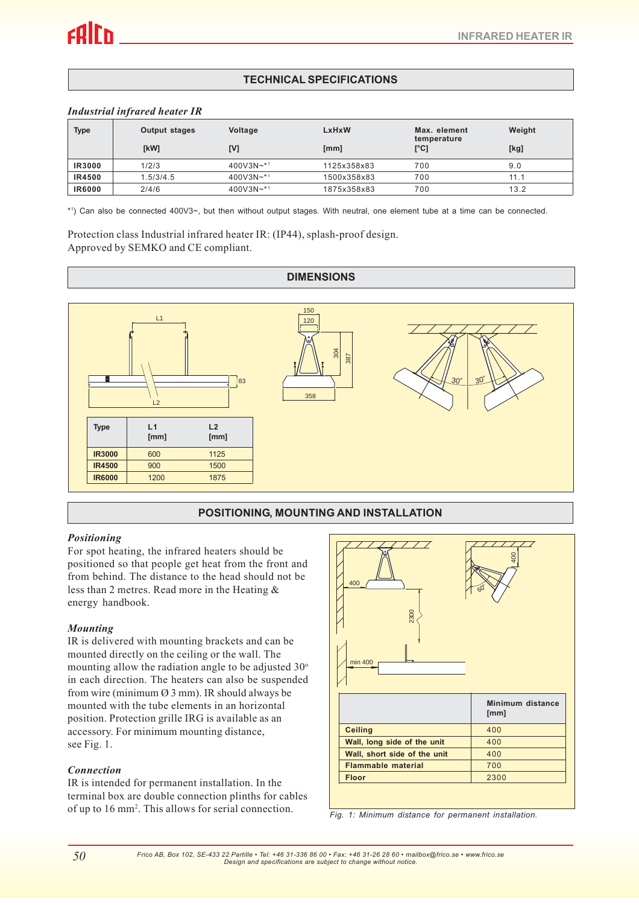# **TECHNICAL SPECIFICATIONS**

#### *Industrial infrared heater IR*

| <b>Type</b>   | <b>Output stages</b> | Voltage          | LxHxW       | Max. element        | Weight |
|---------------|----------------------|------------------|-------------|---------------------|--------|
|               | [kW]                 | [V]              | [mm]        | temperature<br>[°C] | [kg]   |
| <b>IR3000</b> | 1/2/3                | 400V3N $\sim$ *1 | 1125x358x83 | 700                 | 9.0    |
| <b>IR4500</b> | 1.5/3/4.5            | $400V3N+1$       | 1500x358x83 | 700                 | 11.1   |
| <b>IR6000</b> | 2/4/6                | $400V3N+1$       | 1875x358x83 | 700                 | 13.2   |

\*1 ) Can also be connected 400V3~, but then without output stages. With neutral, one element tube at a time can be connected.

Protection class Industrial infrared heater IR: (IP44), splash-proof design. Approved by SEMKO and CE compliant.

# **DIMENSIONS**



# **POSITIONING, MOUNTING AND INSTALLATION**

### *Positioning*

For spot heating, the infrared heaters should be positioned so that people get heat from the front and from behind. The distance to the head should not be less than 2 metres. Read more in the Heating & energy handbook.

### *Mounting*

IR is delivered with mounting brackets and can be mounted directly on the ceiling or the wall. The mounting allow the radiation angle to be adjusted  $30^\circ$ in each direction. The heaters can also be suspended from wire (minimum  $\varnothing$  3 mm). IR should always be mounted with the tube elements in an horizontal position. Protection grille IRG is available as an accessory. For minimum mounting distance, see Fig. 1.

### *Connection*

IR is intended for permanent installation. In the terminal box are double connection plinths for cables of up to 16 mm<sup>2</sup>. This allows for serial connection.



Fig. 1: Minimum distance for permanent installation.

*Frico AB, Box 102, SE-433 22 Partille • Tel: +46 31-336 86 00 • Fax: +46 31-26 28 60 • mailbox@frico.se • www.frico.se Design and specifications are subject to change without notice.*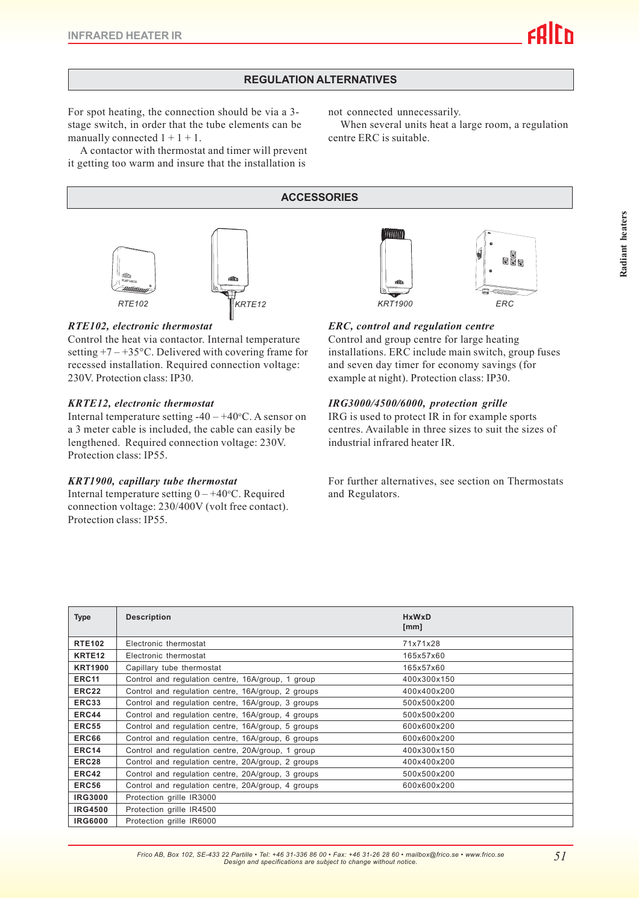# **REGULATION ALTERNATIVES**

For spot heating, the connection should be via a 3 stage switch, in order that the tube elements can be manually connected  $1 + 1 + 1$ .

not connected unnecessarily.

When several units heat a large room, a regulation centre ERC is suitable.

A contactor with thermostat and timer will prevent it getting too warm and insure that the installation is

# **ACCESSORIES**



# *RTE102, electronic thermostat*

Control the heat via contactor. Internal temperature setting  $+7 - +35$ °C. Delivered with covering frame for recessed installation. Required connection voltage: 230V. Protection class: IP30.

### *KRTE12, electronic thermostat*

Internal temperature setting  $-40 - +40$ °C. A sensor on a 3 meter cable is included, the cable can easily be lengthened. Required connection voltage: 230V. Protection class: IP55.

#### *KRT1900, capillary tube thermostat*

Internal temperature setting  $0 - +40$  °C. Required connection voltage: 230/400V (volt free contact). Protection class: IP55.



## *ERC, control and regulation centre*

Control and group centre for large heating installations. ERC include main switch, group fuses and seven day timer for economy savings (for example at night). Protection class: IP30.

### *IRG3000/4500/6000, protection grille*

IRG is used to protect IR in for example sports centres. Available in three sizes to suit the sizes of industrial infrared heater IR.

For further alternatives, see section on Thermostats and Regulators.

| <b>Type</b>        | <b>Description</b>                                 | <b>HxWxD</b><br>[mm] |  |  |
|--------------------|----------------------------------------------------|----------------------|--|--|
| <b>RTE102</b>      | Electronic thermostat                              | 71x71x28             |  |  |
| KRTE <sub>12</sub> | Electronic thermostat                              | 165x57x60            |  |  |
| <b>KRT1900</b>     | Capillary tube thermostat                          | 165x57x60            |  |  |
| ERC <sub>11</sub>  | Control and regulation centre, 16A/group, 1 group  | 400x300x150          |  |  |
| ERC22              | Control and regulation centre, 16A/group, 2 groups | 400x400x200          |  |  |
| ERC33              | Control and regulation centre, 16A/group, 3 groups | 500x500x200          |  |  |
| ERC44              | Control and regulation centre, 16A/group, 4 groups | 500x500x200          |  |  |
| <b>ERC55</b>       | Control and regulation centre, 16A/group, 5 groups | 600x600x200          |  |  |
| ERC66              | Control and regulation centre, 16A/group, 6 groups | 600x600x200          |  |  |
| ERC14              | Control and regulation centre, 20A/group, 1 group  | 400x300x150          |  |  |
| ERC28              | Control and regulation centre, 20A/group, 2 groups | 400x400x200          |  |  |
| ERC42              | Control and regulation centre, 20A/group, 3 groups | 500x500x200          |  |  |
| <b>ERC56</b>       | Control and regulation centre, 20A/group, 4 groups | 600x600x200          |  |  |
| <b>IRG3000</b>     | Protection grille IR3000                           |                      |  |  |
| <b>IRG4500</b>     | Protection grille IR4500                           |                      |  |  |
| <b>IRG6000</b>     | Protection grille IR6000                           |                      |  |  |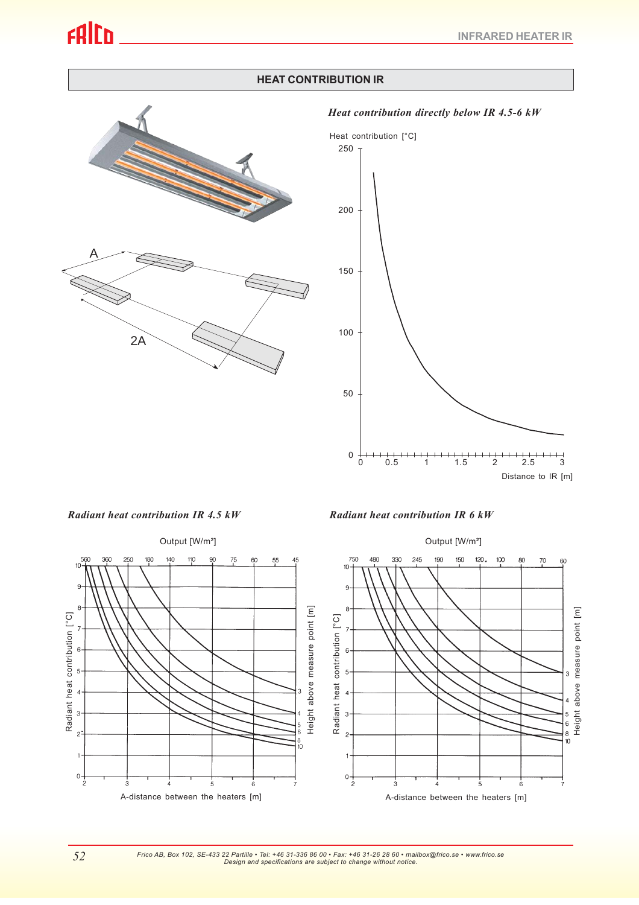# **HEAT CONTRIBUTION IR**



*Heat contribution directly below IR 4.5-6 kW*



*Radiant heat contribution IR 4.5 kW Radiant heat contribution IR 6 kW*





*Frico AB, Box 102, SE-433 22 Partille • Tel: +46 31-336 86 00 • Fax: +46 31-26 28 60 • mailbox@frico.se • www.frico.se Design and specifications are subject to change without notice.*